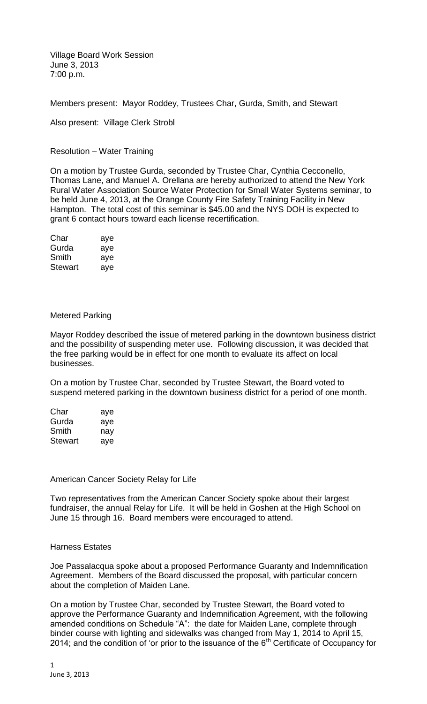Village Board Work Session June 3, 2013 7:00 p.m.

Members present: Mayor Roddey, Trustees Char, Gurda, Smith, and Stewart

Also present: Village Clerk Strobl

Resolution – Water Training

On a motion by Trustee Gurda, seconded by Trustee Char, Cynthia Cecconello, Thomas Lane, and Manuel A. Orellana are hereby authorized to attend the New York Rural Water Association Source Water Protection for Small Water Systems seminar, to be held June 4, 2013, at the Orange County Fire Safety Training Facility in New Hampton. The total cost of this seminar is \$45.00 and the NYS DOH is expected to grant 6 contact hours toward each license recertification.

| Char    | aye |
|---------|-----|
| Gurda   | aye |
| Smith   | aye |
| Stewart | aye |

## Metered Parking

Mayor Roddey described the issue of metered parking in the downtown business district and the possibility of suspending meter use. Following discussion, it was decided that the free parking would be in effect for one month to evaluate its affect on local businesses.

On a motion by Trustee Char, seconded by Trustee Stewart, the Board voted to suspend metered parking in the downtown business district for a period of one month.

| Char    | aye |
|---------|-----|
| Gurda   | aye |
| Smith   | nav |
| Stewart | aye |

## American Cancer Society Relay for Life

Two representatives from the American Cancer Society spoke about their largest fundraiser, the annual Relay for Life. It will be held in Goshen at the High School on June 15 through 16. Board members were encouraged to attend.

## Harness Estates

Joe Passalacqua spoke about a proposed Performance Guaranty and Indemnification Agreement. Members of the Board discussed the proposal, with particular concern about the completion of Maiden Lane.

On a motion by Trustee Char, seconded by Trustee Stewart, the Board voted to approve the Performance Guaranty and Indemnification Agreement, with the following amended conditions on Schedule "A": the date for Maiden Lane, complete through binder course with lighting and sidewalks was changed from May 1, 2014 to April 15, 2014; and the condition of 'or prior to the issuance of the  $6<sup>th</sup>$  Certificate of Occupancy for